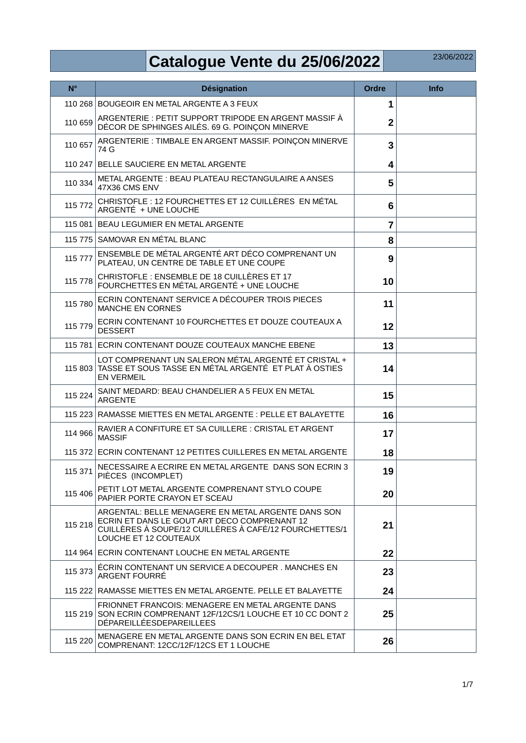## **Catalogue Vente du 25/06/2022**

| $N^{\circ}$ | <b>Désignation</b>                                                                                                                                                                    | <b>Ordre</b>    | <b>Info</b> |
|-------------|---------------------------------------------------------------------------------------------------------------------------------------------------------------------------------------|-----------------|-------------|
|             | 110 268 BOUGEOIR EN METAL ARGENTE A 3 FEUX                                                                                                                                            | 1               |             |
| 110 659     | ARGENTERIE : PETIT SUPPORT TRIPODE EN ARGENT MASSIF À<br>DÉCOR DE SPHINGES AILÉS. 69 G. POINCON MINERVE                                                                               | $\overline{2}$  |             |
| 110 657     | ARGENTERIE: TIMBALE EN ARGENT MASSIF. POINÇON MINERVE<br>74 G                                                                                                                         | 3               |             |
|             | 110 247 BELLE SAUCIERE EN METAL ARGENTE                                                                                                                                               | 4               |             |
| 110 334     | METAL ARGENTE: BEAU PLATEAU RECTANGULAIRE A ANSES<br>47X36 CMS ENV                                                                                                                    | 5               |             |
| 115 772     | CHRISTOFLE : 12 FOURCHETTES ET 12 CUILLÈRES EN MÉTAL<br>ARGENTÉ + UNE LOUCHE                                                                                                          | $6\phantom{1}6$ |             |
|             | 115 081 BEAU LEGUMIER EN METAL ARGENTE                                                                                                                                                | $\overline{7}$  |             |
|             | 115 775 SAMOVAR EN MÉTAL BLANC                                                                                                                                                        | 8               |             |
| 115 777     | ENSEMBLE DE MÉTAL ARGENTÉ ART DÉCO COMPRENANT UN<br>PLATEAU, UN CENTRE DE TABLE ET UNE COUPE                                                                                          | 9               |             |
| 115 778     | CHRISTOFLE : ENSEMBLE DE 18 CUILLÈRES ET 17<br>FOURCHETTES EN MÉTAL ARGENTÉ + UNE LOUCHE                                                                                              | 10              |             |
| 115 780     | ECRIN CONTENANT SERVICE A DÉCOUPER TROIS PIECES<br><b>MANCHE EN CORNES</b>                                                                                                            | 11              |             |
| 115 779     | ECRIN CONTENANT 10 FOURCHETTES ET DOUZE COUTEAUX A<br><b>DESSERT</b>                                                                                                                  | 12              |             |
|             | 115 781 ECRIN CONTENANT DOUZE COUTEAUX MANCHE EBENE                                                                                                                                   | 13              |             |
|             | LOT COMPRENANT UN SALERON MÉTAL ARGENTÉ ET CRISTAL +<br>115 803 TASSE ET SOUS TASSE EN MÉTAL ARGENTÉ ET PLAT À OSTIES<br><b>EN VERMEIL</b>                                            | 14              |             |
| 115 224     | SAINT MEDARD: BEAU CHANDELIER A 5 FEUX EN METAL<br><b>ARGENTE</b>                                                                                                                     | 15              |             |
|             | 115 223 RAMASSE MIETTES EN METAL ARGENTE : PELLE ET BALAYETTE                                                                                                                         | 16              |             |
| 114 966     | RAVIER A CONFITURE ET SA CUILLERE : CRISTAL ET ARGENT<br><b>MASSIF</b>                                                                                                                | 17              |             |
|             | 115 372 ECRIN CONTENANT 12 PETITES CUILLERES EN METAL ARGENTE                                                                                                                         | 18              |             |
| 115 371     | NECESSAIRE A ECRIRE EN METAL ARGENTE DANS SON ECRIN 3<br>PIÈCES (INCOMPLET)                                                                                                           | 19              |             |
| 115 406     | PETIT LOT METAL ARGENTE COMPRENANT STYLO COUPE<br>PAPIER PORTE CRAYON ET SCEAU                                                                                                        | 20              |             |
| 115 218     | ARGENTAL: BELLE MENAGERE EN METAL ARGENTE DANS SON<br>ECRIN ET DANS LE GOUT ART DECO COMPRENANT 12<br>CUILLÈRES À SOUPE/12 CUILLÈRES À CAFÉ/12 FOURCHETTES/1<br>LOUCHE ET 12 COUTEAUX | 21              |             |
|             | 114 964 ECRIN CONTENANT LOUCHE EN METAL ARGENTE                                                                                                                                       | 22              |             |
| 115 373     | ÉCRIN CONTENANT UN SERVICE A DECOUPER. MANCHES EN<br>ARGENT FOURRÉ                                                                                                                    | 23              |             |
|             | 115 222 RAMASSE MIETTES EN METAL ARGENTE. PELLE ET BALAYETTE                                                                                                                          | 24              |             |
|             | FRIONNET FRANCOIS: MENAGERE EN METAL ARGENTE DANS<br>115 219 SON ECRIN COMPRENANT 12F/12CS/1 LOUCHE ET 10 CC DONT 2<br>DÉPAREILLÉESDEPAREILLEES                                       | 25              |             |
| 115 220     | MENAGERE EN METAL ARGENTE DANS SON ECRIN EN BEL ETAT<br>COMPRENANT: 12CC/12F/12CS ET 1 LOUCHE                                                                                         | 26              |             |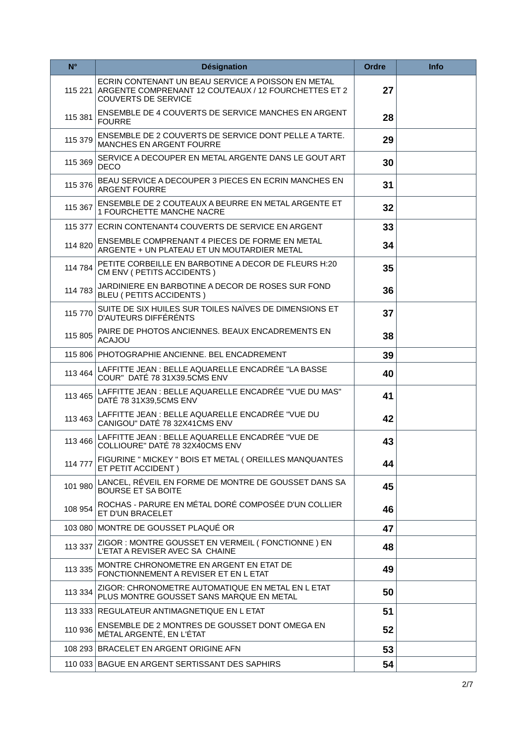| $N^{\circ}$ | <b>Désignation</b>                                                                                                                       | <b>Ordre</b> | <b>Info</b> |
|-------------|------------------------------------------------------------------------------------------------------------------------------------------|--------------|-------------|
| 115221      | ECRIN CONTENANT UN BEAU SERVICE A POISSON EN METAL<br>ARGENTE COMPRENANT 12 COUTEAUX / 12 FOURCHETTES ET 2<br><b>COUVERTS DE SERVICE</b> | 27           |             |
| 115 381     | ENSEMBLE DE 4 COUVERTS DE SERVICE MANCHES EN ARGENT<br><b>FOURRE</b>                                                                     | 28           |             |
| 115 379     | ENSEMBLE DE 2 COUVERTS DE SERVICE DONT PELLE A TARTE.<br><b>MANCHES EN ARGENT FOURRE</b>                                                 | 29           |             |
| 115 369     | SERVICE A DECOUPER EN METAL ARGENTE DANS LE GOUT ART<br><b>DECO</b>                                                                      | 30           |             |
| 115 376     | BEAU SERVICE A DECOUPER 3 PIECES EN ECRIN MANCHES EN<br><b>ARGENT FOURRE</b>                                                             | 31           |             |
| 115 367     | ENSEMBLE DE 2 COUTEAUX A BEURRE EN METAL ARGENTE ET<br>1 FOURCHETTE MANCHE NACRE                                                         | 32           |             |
|             | 115 377 ECRIN CONTENANT4 COUVERTS DE SERVICE EN ARGENT                                                                                   | 33           |             |
| 114 820     | ENSEMBLE COMPRENANT 4 PIECES DE FORME EN METAL<br>ARGENTE + UN PLATEAU ET UN MOUTARDIER METAL                                            | 34           |             |
| 114 784     | PETITE CORBEILLE EN BARBOTINE A DECOR DE FLEURS H:20<br>CM ENV ( PETITS ACCIDENTS )                                                      | 35           |             |
| 114 783     | JARDINIERE EN BARBOTINE A DECOR DE ROSES SUR FOND<br>BLEU ( PETITS ACCIDENTS )                                                           | 36           |             |
| 115 770     | SUITE DE SIX HUILES SUR TOILES NAÏVES DE DIMENSIONS ET<br>D'AUTEURS DIFFÉRÉNTS                                                           | 37           |             |
| 115 805     | PAIRE DE PHOTOS ANCIENNES. BEAUX ENCADREMENTS EN<br><b>ACAJOU</b>                                                                        | 38           |             |
|             | 115 806 PHOTOGRAPHIE ANCIENNE, BEL ENCADREMENT                                                                                           | 39           |             |
| 113 464     | LAFFITTE JEAN : BELLE AQUARELLE ENCADRÉE "LA BASSE<br>COUR" DATÉ 78 31X39.5CMS ENV                                                       | 40           |             |
| 113 465     | LAFFITTE JEAN : BELLE AQUARELLE ENCADRÉE "VUE DU MAS"<br>DATÉ 78 31X39,5CMS ENV                                                          | 41           |             |
| 113 463     | LAFFITTE JEAN : BELLE AQUARELLE ENCADRÉE "VUE DU<br>CANIGOU" DATÉ 78 32X41CMS ENV                                                        | 42           |             |
| 113 466     | LAFFITTE JEAN : BELLE AQUARELLE ENCADRÉE "VUE DE<br>COLLIOURE" DATÉ 78 32X40CMS ENV                                                      | 43           |             |
| 114 777     | FIGURINE " MICKEY " BOIS ET METAL ( OREILLES MANQUANTES<br>ET PETIT ACCIDENT)                                                            | 44           |             |
| 101 980     | LANCEL, RÉVEIL EN FORME DE MONTRE DE GOUSSET DANS SA<br><b>BOURSE ET SA BOITE</b>                                                        | 45           |             |
| 108 954     | ROCHAS - PARURE EN MÉTAL DORÉ COMPOSÉE D'UN COLLIER<br>ET D'UN BRACELET                                                                  | 46           |             |
|             | 103 080 MONTRE DE GOUSSET PLAQUÉ OR                                                                                                      | 47           |             |
| 113 337     | ZIGOR: MONTRE GOUSSET EN VERMEIL (FONCTIONNE) EN<br>L'ETAT A REVISER AVEC SA CHAINE                                                      | 48           |             |
| 113 335     | MONTRE CHRONOMETRE EN ARGENT EN ETAT DE<br>FONCTIONNEMENT A REVISER ET EN L ETAT                                                         | 49           |             |
| 113 334     | ZIGOR: CHRONOMETRE AUTOMATIQUE EN METAL EN L ETAT<br>PLUS MONTRE GOUSSET SANS MARQUE EN METAL                                            | 50           |             |
|             | 113 333 REGULATEUR ANTIMAGNETIQUE EN L ETAT                                                                                              | 51           |             |
| 110 936     | ENSEMBLE DE 2 MONTRES DE GOUSSET DONT OMEGA EN<br>MÉTAL ARGENTÉ, EN L'ÉTAT                                                               | 52           |             |
|             | 108 293 BRACELET EN ARGENT ORIGINE AFN                                                                                                   | 53           |             |
|             | 110 033 BAGUE EN ARGENT SERTISSANT DES SAPHIRS                                                                                           | 54           |             |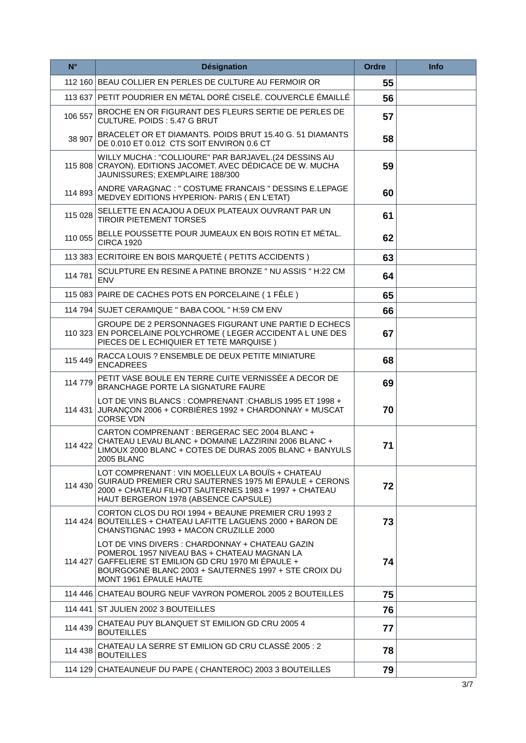| $N^{\circ}$ | <b>Désignation</b>                                                                                                                                                                                                                        | <b>Ordre</b> | <b>Info</b> |
|-------------|-------------------------------------------------------------------------------------------------------------------------------------------------------------------------------------------------------------------------------------------|--------------|-------------|
|             | 112 160 BEAU COLLIER EN PERLES DE CULTURE AU FERMOIR OR                                                                                                                                                                                   | 55           |             |
|             | 113 637 PETIT POUDRIER EN MÉTAL DORÉ CISELÉ. COUVERCLE ÉMAILLÉ                                                                                                                                                                            | 56           |             |
| 106 557     | BROCHE EN OR FIGURANT DES FLEURS SERTIE DE PERLES DE<br>CULTURE. POIDS: 5.47 G BRUT                                                                                                                                                       | 57           |             |
| 38 907      | BRACELET OR ET DIAMANTS. POIDS BRUT 15.40 G. 51 DIAMANTS<br>DE 0.010 ET 0.012 CTS SOIT ENVIRON 0.6 CT                                                                                                                                     | 58           |             |
|             | WILLY MUCHA: "COLLIOURE" PAR BARJAVEL.(24 DESSINS AU<br>115 808 CRAYON). EDITIONS JACOMET. AVEC DÉDICACE DE W. MUCHA<br>JAUNISSURES; EXEMPLAIRE 188/300                                                                                   | 59           |             |
| 114 893     | ANDRE VARAGNAC : " COSTUME FRANCAIS " DESSINS E.LEPAGE<br>MEDVEY EDITIONS HYPERION- PARIS ( EN L'ETAT)                                                                                                                                    | 60           |             |
| 115 028     | SELLETTE EN ACAJOU A DEUX PLATEAUX OUVRANT PAR UN<br><b>TIROIR PIETEMENT TORSES</b>                                                                                                                                                       | 61           |             |
| 110 055     | BELLE POUSSETTE POUR JUMEAUX EN BOIS ROTIN ET MÉTAL.<br><b>CIRCA 1920</b>                                                                                                                                                                 | 62           |             |
|             | 113 383 ECRITOIRE EN BOIS MARQUETÉ (PETITS ACCIDENTS)                                                                                                                                                                                     | 63           |             |
| 114 781     | SCULPTURE EN RESINE A PATINE BRONZE " NU ASSIS " H:22 CM<br><b>ENV</b>                                                                                                                                                                    | 64           |             |
|             | 115 083 PAIRE DE CACHES POTS EN PORCELAINE (1 FÊLE)                                                                                                                                                                                       | 65           |             |
|             | 114 794 SUJET CERAMIQUE " BABA COOL " H:59 CM ENV                                                                                                                                                                                         | 66           |             |
|             | GROUPE DE 2 PERSONNAGES FIGURANT UNE PARTIE D ECHECS<br>110 323 EN PORCELAINE POLYCHROME (LEGER ACCIDENT A LUNE DES<br>PIECES DE L ECHIQUIER ET TETE MARQUISE)                                                                            | 67           |             |
| 115 449     | RACCA LOUIS ? ENSEMBLE DE DEUX PETITE MINIATURE<br><b>ENCADREES</b>                                                                                                                                                                       | 68           |             |
| 114 779     | PETIT VASE BOULE EN TERRE CUITE VERNISSÉE A DECOR DE<br><b>BRANCHAGE PORTE LA SIGNATURE FAURE</b>                                                                                                                                         | 69           |             |
|             | LOT DE VINS BLANCS : COMPRENANT : CHABLIS 1995 ET 1998 +<br>114 431 JURANÇON 2006 + CORBIÈRES 1992 + CHARDONNAY + MUSCAT<br>CORSE VDN                                                                                                     | 70           |             |
| 114 422     | CARTON COMPRENANT : BERGERAC SEC 2004 BLANC +<br>CHATEAU LEVAU BLANC + DOMAINE LAZZIRINI 2006 BLANC +<br>LIMOUX 2000 BLANC + COTES DE DURAS 2005 BLANC + BANYULS<br><b>2005 BLANC</b>                                                     | 71           |             |
| 114 430     | LOT COMPRENANT : VIN MOELLEUX LA BOUÏS + CHATEAU<br>GUIRAUD PREMIER CRU SAUTERNES 1975 MI ÉPAULE + CERONS<br>2000 + CHATEAU FILHOT SAUTERNES 1983 + 1997 + CHATEAU<br>HAUT BERGERON 1978 (ABSENCE CAPSULE)                                | 72           |             |
| 114 424     | CORTON CLOS DU ROI 1994 + BEAUNE PREMIER CRU 1993 2<br>BOUTEILLES + CHATEAU LAFITTE LAGUENS 2000 + BARON DE<br>CHANSTIGNAC 1993 + MACON CRUZILLE 2000                                                                                     | 73           |             |
|             | LOT DE VINS DIVERS : CHARDONNAY + CHATEAU GAZIN<br>POMEROL 1957 NIVEAU BAS + CHATEAU MAGNAN LA<br>114 427 GAFFELIERE ST EMILION GD CRU 1970 MI ÉPAULE +<br>BOURGOGNE BLANC 2003 + SAUTERNES 1997 + STE CROIX DU<br>MONT 1961 ÉPAULE HAUTE | 74           |             |
|             | 114 446 CHATEAU BOURG NEUF VAYRON POMEROL 2005 2 BOUTEILLES                                                                                                                                                                               | 75           |             |
|             | 114 441 ST JULIEN 2002 3 BOUTEILLES                                                                                                                                                                                                       | 76           |             |
| 114 439     | CHATEAU PUY BLANQUET ST EMILION GD CRU 2005 4<br><b>BOUTEILLES</b>                                                                                                                                                                        | 77           |             |
| 114 438     | CHATEAU LA SERRE ST EMILION GD CRU CLASSÉ 2005 : 2<br><b>BOUTEILLES</b>                                                                                                                                                                   | 78           |             |
|             | 114 129 CHATEAUNEUF DU PAPE (CHANTEROC) 2003 3 BOUTEILLES                                                                                                                                                                                 | 79           |             |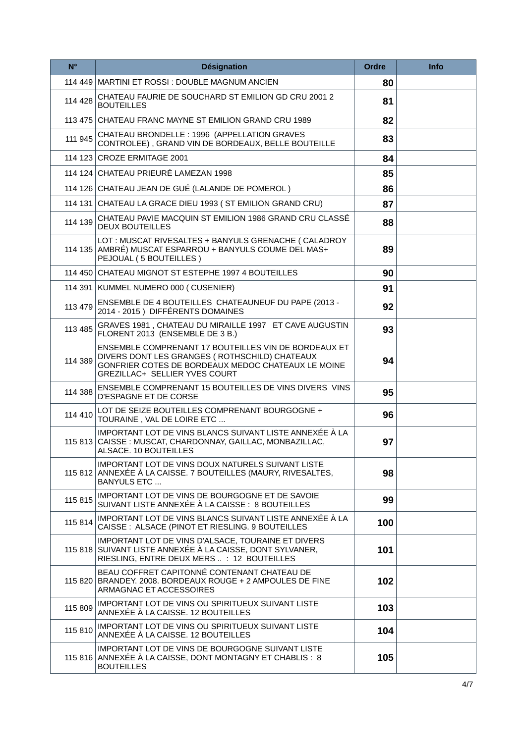| $N^{\circ}$ | <b>Désignation</b>                                                                                                                                                                            | Ordre | <b>Info</b> |
|-------------|-----------------------------------------------------------------------------------------------------------------------------------------------------------------------------------------------|-------|-------------|
|             | 114 449 MARTINI ET ROSSI : DOUBLE MAGNUM ANCIEN                                                                                                                                               | 80    |             |
| 114 428     | CHATEAU FAURIE DE SOUCHARD ST EMILION GD CRU 2001 2<br><b>BOUTEILLES</b>                                                                                                                      | 81    |             |
|             | 113 475 CHATEAU FRANC MAYNE ST EMILION GRAND CRU 1989                                                                                                                                         | 82    |             |
| 111 945     | CHATEAU BRONDELLE: 1996 (APPELLATION GRAVES<br>CONTROLEE), GRAND VIN DE BORDEAUX, BELLE BOUTEILLE                                                                                             | 83    |             |
|             | 114 123 CROZE ERMITAGE 2001                                                                                                                                                                   | 84    |             |
|             | 114 124 CHATEAU PRIEURÉ LAMEZAN 1998                                                                                                                                                          | 85    |             |
|             | 114 126 CHATEAU JEAN DE GUÉ (LALANDE DE POMEROL)                                                                                                                                              | 86    |             |
|             | 114 131 CHATEAU LA GRACE DIEU 1993 (ST EMILION GRAND CRU)                                                                                                                                     | 87    |             |
| 114 139     | CHATEAU PAVIE MACQUIN ST EMILION 1986 GRAND CRU CLASSÉ<br><b>DEUX BOUTEILLES</b>                                                                                                              | 88    |             |
|             | LOT: MUSCAT RIVESALTES + BANYULS GRENACHE ( CALADROY<br>114 135 AMBRÉ) MUSCAT ESPARROU + BANYULS COUME DEL MAS+<br>PEJOUAL (5 BOUTEILLES)                                                     | 89    |             |
|             | 114 450 CHATEAU MIGNOT ST ESTEPHE 1997 4 BOUTEILLES                                                                                                                                           | 90    |             |
|             | 114 391 KUMMEL NUMERO 000 (CUSENIER)                                                                                                                                                          | 91    |             |
| 113 479     | ENSEMBLE DE 4 BOUTEILLES CHATEAUNEUF DU PAPE (2013 -<br>2014 - 2015) DIFFÉRENTS DOMAINES                                                                                                      | 92    |             |
| 113 485     | GRAVES 1981, CHATEAU DU MIRAILLE 1997 ET CAVE AUGUSTIN<br>FLORENT 2013 (ENSEMBLE DE 3 B.)                                                                                                     | 93    |             |
| 114 389     | ENSEMBLE COMPRENANT 17 BOUTEILLES VIN DE BORDEAUX ET<br>DIVERS DONT LES GRANGES ( ROTHSCHILD) CHATEAUX<br>GONFRIER COTES DE BORDEAUX MEDOC CHATEAUX LE MOINE<br>GREZILLAC+ SELLIER YVES COURT | 94    |             |
| 114 388     | ENSEMBLE COMPRENANT 15 BOUTEILLES DE VINS DIVERS VINS<br>D'ESPAGNE ET DE CORSE                                                                                                                | 95    |             |
| 114 410     | LOT DE SEIZE BOUTEILLES COMPRENANT BOURGOGNE +<br>TOURAINE, VAL DE LOIRE ETC                                                                                                                  | 96    |             |
|             | IMPORTANT LOT DE VINS BLANCS SUIVANT LISTE ANNEXÉE À LA<br>115 813 CAISSE: MUSCAT, CHARDONNAY, GAILLAC, MONBAZILLAC,<br>ALSACE. 10 BOUTEILLES                                                 | 97    |             |
|             | IMPORTANT LOT DE VINS DOUX NATURELS SUIVANT LISTE<br>115 812 ANNEXÉE À LA CAISSE. 7 BOUTEILLES (MAURY, RIVESALTES,<br><b>BANYULS ETC</b>                                                      | 98    |             |
| 115815      | IMPORTANT LOT DE VINS DE BOURGOGNE ET DE SAVOIE<br>SUIVANT LISTE ANNEXÉE À LA CAISSE : 8 BOUTEILLES                                                                                           | 99    |             |
| 115 814     | IMPORTANT LOT DE VINS BLANCS SUIVANT LISTE ANNEXÉE À LA<br>CAISSE: ALSACE (PINOT ET RIESLING. 9 BOUTEILLES                                                                                    | 100   |             |
| 115 818     | IMPORTANT LOT DE VINS D'ALSACE, TOURAINE ET DIVERS<br>SUIVANT LISTE ANNEXÉE À LA CAISSE, DONT SYLVANER,<br>RIESLING, ENTRE DEUX MERS  : 12 BOUTEILLES                                         | 101   |             |
|             | BEAU COFFRET CAPITONNÉ CONTENANT CHATEAU DE<br>115 820 BRANDEY. 2008. BORDEAUX ROUGE + 2 AMPOULES DE FINE<br>ARMAGNAC ET ACCESSOIRES                                                          | 102   |             |
| 115 809     | IMPORTANT LOT DE VINS OU SPIRITUEUX SUIVANT LISTE<br>ANNEXÉE À LA CAISSE. 12 BOUTEILLES                                                                                                       | 103   |             |
| 115 810     | IMPORTANT LOT DE VINS OU SPIRITUEUX SUIVANT LISTE<br>ANNEXÉE À LA CAISSE. 12 BOUTEILLES                                                                                                       | 104   |             |
|             | IMPORTANT LOT DE VINS DE BOURGOGNE SUIVANT LISTE<br>115 816 ANNEXÉE À LA CAISSE, DONT MONTAGNY ET CHABLIS : 8<br><b>BOUTEILLES</b>                                                            | 105   |             |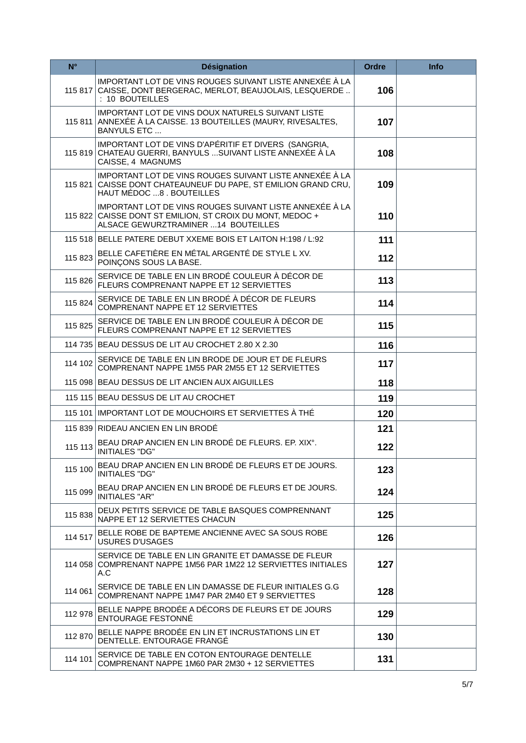| $N^{\circ}$ | <b>Désignation</b>                                                                                                                                           | <b>Ordre</b> | <b>Info</b> |
|-------------|--------------------------------------------------------------------------------------------------------------------------------------------------------------|--------------|-------------|
|             | IMPORTANT LOT DE VINS ROUGES SUIVANT LISTE ANNEXÉE À LA<br>115 817 CAISSE, DONT BERGERAC, MERLOT, BEAUJOLAIS, LESQUERDE<br>: 10 BOUTEILLES                   | 106          |             |
| 115 811     | IMPORTANT LOT DE VINS DOUX NATURELS SUIVANT LISTE<br>ANNEXÉE À LA CAISSE. 13 BOUTEILLES (MAURY, RIVESALTES,<br><b>BANYULS ETC</b>                            | 107          |             |
|             | IMPORTANT LOT DE VINS D'APÉRITIF ET DIVERS (SANGRIA,<br>115 819 CHATEAU GUERRI, BANYULS  SUIVANT LISTE ANNEXÉE À LA<br>CAISSE, 4 MAGNUMS                     | 108          |             |
|             | IMPORTANT LOT DE VINS ROUGES SUIVANT LISTE ANNEXÉE À LA<br>115 821 CAISSE DONT CHATEAUNEUF DU PAPE, ST EMILION GRAND CRU,<br>HAUT MÉDOC 8 . BOUTEILLES       | 109          |             |
|             | IMPORTANT LOT DE VINS ROUGES SUIVANT LISTE ANNEXÉE À LA<br>115 822 CAISSE DONT ST EMILION, ST CROIX DU MONT, MEDOC +<br>ALSACE GEWURZTRAMINER  14 BOUTEILLES | 110          |             |
|             | 115 518 BELLE PATERE DEBUT XXEME BOIS ET LAITON H:198 / L:92                                                                                                 | 111          |             |
| 115 823     | BELLE CAFETIÈRE EN MÉTAL ARGENTÉ DE STYLE L XV.<br>POINCONS SOUS LA BASE.                                                                                    | 112          |             |
| 115 826     | SERVICE DE TABLE EN LIN BRODÉ COULEUR À DÉCOR DE<br>FLEURS COMPRENANT NAPPE ET 12 SERVIETTES                                                                 | 113          |             |
| 115 824     | SERVICE DE TABLE EN LIN BRODÉ À DÉCOR DE FLEURS<br><b>COMPRENANT NAPPE ET 12 SERVIETTES</b>                                                                  | 114          |             |
| 115 825     | SERVICE DE TABLE EN LIN BRODÉ COULEUR À DÉCOR DE<br>FLEURS COMPRENANT NAPPE ET 12 SERVIETTES                                                                 | 115          |             |
|             | 114 735 BEAU DESSUS DE LIT AU CROCHET 2.80 X 2.30                                                                                                            | 116          |             |
| 114 102     | SERVICE DE TABLE EN LIN BRODE DE JOUR ET DE FLEURS<br>COMPRENANT NAPPE 1M55 PAR 2M55 ET 12 SERVIETTES                                                        | 117          |             |
|             | 115 098 BEAU DESSUS DE LIT ANCIEN AUX AIGUILLES                                                                                                              | 118          |             |
|             | 115 115 BEAU DESSUS DE LIT AU CROCHET                                                                                                                        | 119          |             |
|             | 115 101 IMPORTANT LOT DE MOUCHOIRS ET SERVIETTES À THÉ                                                                                                       | 120          |             |
|             | 115 839 RIDEAU ANCIEN EN LIN BRODÉ                                                                                                                           | $121$        |             |
| 115 113     | BEAU DRAP ANCIEN EN LIN BRODÉ DE FLEURS. EP. XIX°.<br><b>INITIALES "DG"</b>                                                                                  | 122          |             |
| 115 100     | BEAU DRAP ANCIEN EN LIN BRODÉ DE FLEURS ET DE JOURS.<br><b>INITIALES "DG"</b>                                                                                | 123          |             |
| 115 099     | BEAU DRAP ANCIEN EN LIN BRODÉ DE FLEURS ET DE JOURS.<br><b>INITIALES "AR"</b>                                                                                | 124          |             |
| 115 838     | DEUX PETITS SERVICE DE TABLE BASQUES COMPRENNANT<br>NAPPE ET 12 SERVIETTES CHACUN                                                                            | 125          |             |
| 114 517     | BELLE ROBE DE BAPTEME ANCIENNE AVEC SA SOUS ROBE<br><b>USURES D'USAGES</b>                                                                                   | 126          |             |
|             | SERVICE DE TABLE EN LIN GRANITE ET DAMASSE DE FLEUR<br>114 058 COMPRENANT NAPPE 1M56 PAR 1M22 12 SERVIETTES INITIALES<br>A.C                                 | 127          |             |
| 114 061     | SERVICE DE TABLE EN LIN DAMASSE DE FLEUR INITIALES G.G<br>COMPRENANT NAPPE 1M47 PAR 2M40 ET 9 SERVIETTES                                                     | 128          |             |
| 112 978     | BELLE NAPPE BRODÉE A DÉCORS DE FLEURS ET DE JOURS<br><b>ENTOURAGE FESTONNÉ</b>                                                                               | 129          |             |
| 112 870     | BELLE NAPPE BRODÉE EN LIN ET INCRUSTATIONS LIN ET<br>DENTELLE. ENTOURAGE FRANGÉ                                                                              | 130          |             |
| 114 101     | SERVICE DE TABLE EN COTON ENTOURAGE DENTELLE<br>COMPRENANT NAPPE 1M60 PAR 2M30 + 12 SERVIETTES                                                               | 131          |             |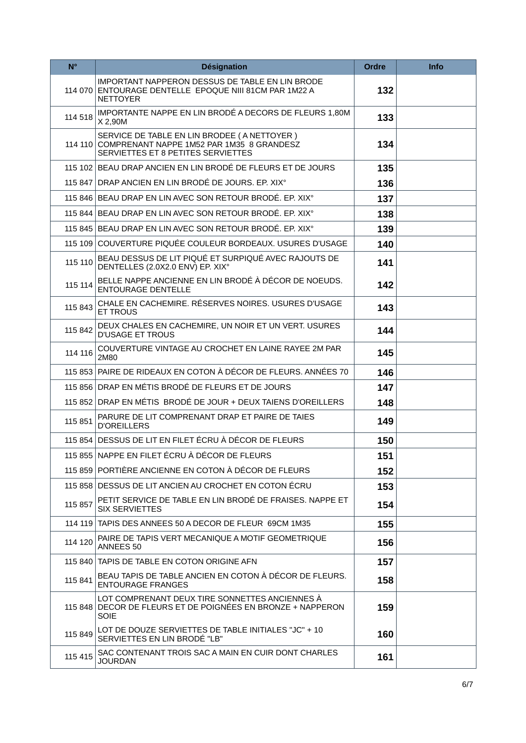| $N^{\circ}$ | <b>Désignation</b>                                                                                                                     | <b>Ordre</b> | <b>Info</b> |
|-------------|----------------------------------------------------------------------------------------------------------------------------------------|--------------|-------------|
|             | IMPORTANT NAPPERON DESSUS DE TABLE EN LIN BRODE<br>114 070 ENTOURAGE DENTELLE EPOQUE NIII 81CM PAR 1M22 A<br><b>NETTOYER</b>           | 132          |             |
| 114 518     | IMPORTANTE NAPPE EN LIN BRODÉ A DECORS DE FLEURS 1,80M<br>X 2,90M                                                                      | 133          |             |
|             | SERVICE DE TABLE EN LIN BRODEE (A NETTOYER)<br>114 110 COMPRENANT NAPPE 1M52 PAR 1M35 8 GRANDESZ<br>SERVIETTES ET 8 PETITES SERVIETTES | 134          |             |
|             | 115 102 BEAU DRAP ANCIEN EN LIN BRODÉ DE FLEURS ET DE JOURS                                                                            | 135          |             |
|             | 115 847 DRAP ANCIEN EN LIN BRODÉ DE JOURS. EP. XIX°                                                                                    | 136          |             |
|             | 115 846 BEAU DRAP EN LIN AVEC SON RETOUR BRODE. EP. XIX°                                                                               | 137          |             |
|             | 115 844 BEAU DRAP EN LIN AVEC SON RETOUR BRODE. EP. XIX°                                                                               | 138          |             |
|             | 115 845 BEAU DRAP EN LIN AVEC SON RETOUR BRODÉ. EP. XIX°                                                                               | 139          |             |
|             | 115 109 COUVERTURE PIQUÉE COULEUR BORDEAUX. USURES D'USAGE                                                                             | 140          |             |
| 115 110     | BEAU DESSUS DE LIT PIQUÉ ET SURPIQUÉ AVEC RAJOUTS DE<br>DENTELLES (2.0X2.0 ENV) EP. XIX°                                               | 141          |             |
| 115 114     | BELLE NAPPE ANCIENNE EN LIN BRODÉ À DÉCOR DE NOEUDS.<br><b>ENTOURAGE DENTELLE</b>                                                      | 142          |             |
| 115 843     | CHALE EN CACHEMIRE. RÉSERVES NOIRES. USURES D'USAGE<br><b>ET TROUS</b>                                                                 | 143          |             |
| 115 842     | DEUX CHALES EN CACHEMIRE, UN NOIR ET UN VERT. USURES<br><b>D'USAGE ET TROUS</b>                                                        | 144          |             |
| 114 116     | COUVERTURE VINTAGE AU CROCHET EN LAINE RAYEE 2M PAR<br>2M80                                                                            | 145          |             |
|             | 115 853 PAIRE DE RIDEAUX EN COTON À DÉCOR DE FLEURS. ANNÉES 70                                                                         | 146          |             |
|             | 115 856 DRAP EN MÉTIS BRODÉ DE FLEURS ET DE JOURS                                                                                      | 147          |             |
|             | 115 852 DRAP EN MÉTIS BRODÉ DE JOUR + DEUX TAIENS D'OREILLERS                                                                          | 148          |             |
| 115 851     | PARURE DE LIT COMPRENANT DRAP ET PAIRE DE TAIES<br><b>D'OREILLERS</b>                                                                  | 149          |             |
|             | 115 854 DESSUS DE LIT EN FILET ÉCRU À DÉCOR DE FLEURS                                                                                  | 150          |             |
|             | 115 855 NAPPE EN FILET ÉCRU À DÉCOR DE FLEURS                                                                                          | 151          |             |
|             | 115 859 PORTIÈRE ANCIENNE EN COTON À DÉCOR DE FLEURS                                                                                   | 152          |             |
|             | 115 858 DESSUS DE LIT ANCIEN AU CROCHET EN COTON ÉCRU                                                                                  | 153          |             |
| 115 857     | PETIT SERVICE DE TABLE EN LIN BRODÉ DE FRAISES. NAPPE ET<br><b>SIX SERVIETTES</b>                                                      | 154          |             |
|             | 114 119 TAPIS DES ANNEES 50 A DECOR DE FLEUR 69CM 1M35                                                                                 | 155          |             |
| 114 120     | PAIRE DE TAPIS VERT MECANIQUE A MOTIF GEOMETRIQUE<br>ANNEES 50                                                                         | 156          |             |
|             | 115 840 TAPIS DE TABLE EN COTON ORIGINE AFN                                                                                            | 157          |             |
| 115 841     | BEAU TAPIS DE TABLE ANCIEN EN COTON À DÉCOR DE FLEURS.<br><b>ENTOURAGE FRANGES</b>                                                     | 158          |             |
| 115 848     | LOT COMPRENANT DEUX TIRE SONNETTES ANCIENNES A<br>DECOR DE FLEURS ET DE POIGNÉES EN BRONZE + NAPPERON<br>SOIE                          | 159          |             |
| 115 849     | LOT DE DOUZE SERVIETTES DE TABLE INITIALES "JC" + 10<br>SERVIETTES EN LIN BRODÉ "LB"                                                   | 160          |             |
| 115 415     | SAC CONTENANT TROIS SAC A MAIN EN CUIR DONT CHARLES<br><b>JOURDAN</b>                                                                  | 161          |             |